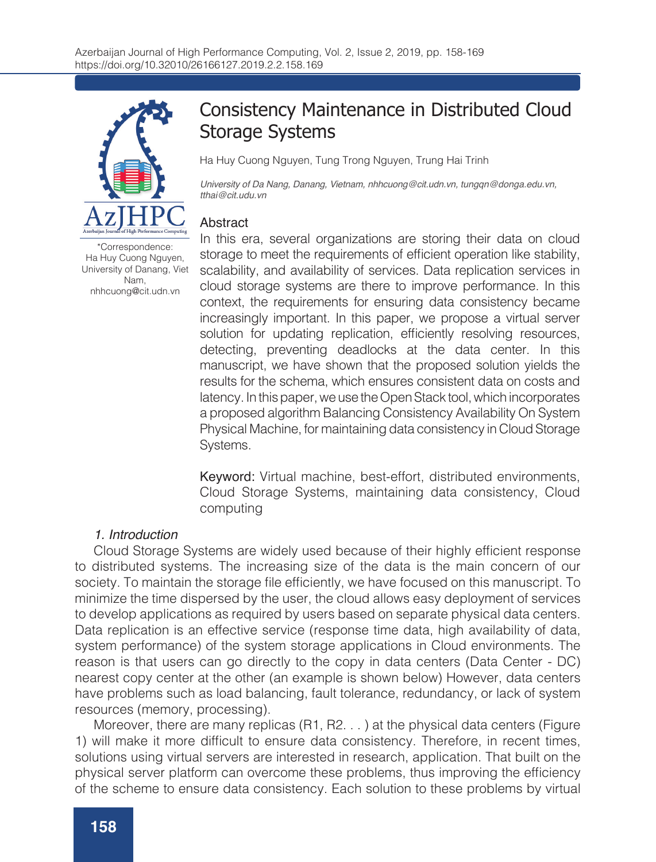

Consistency Maintenance in Distributed Cloud Storage Systems

Ha Huy Cuong Nguyen, Tung Trong Nguyen, Trung Hai Trinh

*University of Da Nang, Danang, Vietnam, nhhcuong@cit.udn.vn, tungqn@donga.edu.vn, tthai@cit.udu.vn*

### **Abstract**

In this era, several organizations are storing their data on cloud storage to meet the requirements of efficient operation like stability, scalability, and availability of services. Data replication services in cloud storage systems are there to improve performance. In this context, the requirements for ensuring data consistency became increasingly important. In this paper, we propose a virtual server solution for updating replication, efficiently resolving resources, detecting, preventing deadlocks at the data center. In this manuscript, we have shown that the proposed solution yields the results for the schema, which ensures consistent data on costs and latency. In this paper, we use the Open Stack tool, which incorporates a proposed algorithm Balancing Consistency Availability On System Physical Machine, for maintaining data consistency in Cloud Storage Systems.

Keyword: Virtual machine, best-effort, distributed environments, Cloud Storage Systems, maintaining data consistency, Cloud computing

#### *1. Introduction*

Cloud Storage Systems are widely used because of their highly efficient response to distributed systems. The increasing size of the data is the main concern of our society. To maintain the storage file efficiently, we have focused on this manuscript. To minimize the time dispersed by the user, the cloud allows easy deployment of services to develop applications as required by users based on separate physical data centers. Data replication is an effective service (response time data, high availability of data, system performance) of the system storage applications in Cloud environments. The reason is that users can go directly to the copy in data centers (Data Center - DC) nearest copy center at the other (an example is shown below) However, data centers have problems such as load balancing, fault tolerance, redundancy, or lack of system resources (memory, processing).

Moreover, there are many replicas (R1, R2. . . ) at the physical data centers (Figure 1) will make it more difficult to ensure data consistency. Therefore, in recent times, solutions using virtual servers are interested in research, application. That built on the physical server platform can overcome these problems, thus improving the efficiency of the scheme to ensure data consistency. Each solution to these problems by virtual

\*Correspondence: Ha Huy Cuong Nguyen, University of Danang, Viet Nam, nhhcuong@cit.udn.vn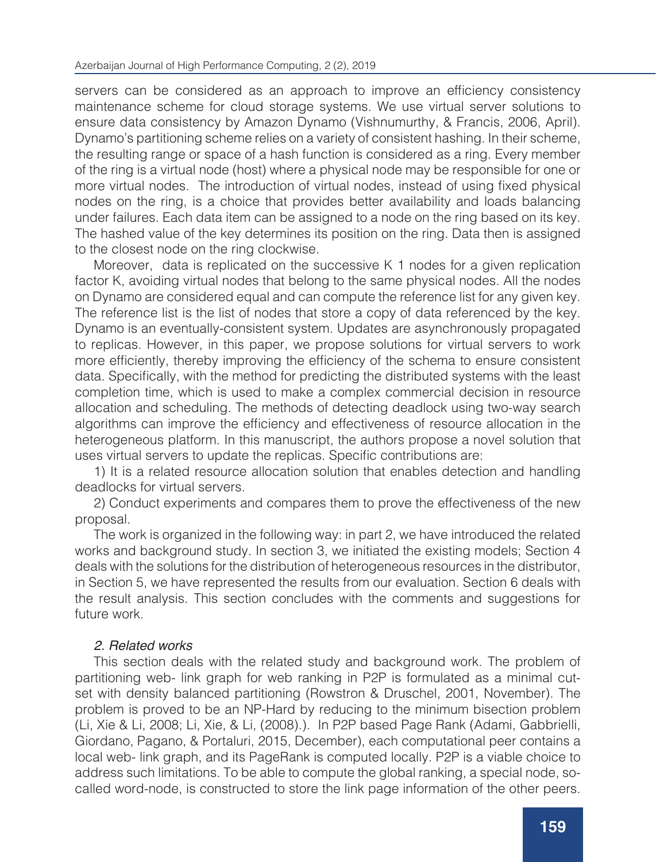servers can be considered as an approach to improve an efficiency consistency maintenance scheme for cloud storage systems. We use virtual server solutions to ensure data consistency by Amazon Dynamo (Vishnumurthy, & Francis, 2006, April). Dynamo's partitioning scheme relies on a variety of consistent hashing. In their scheme, the resulting range or space of a hash function is considered as a ring. Every member of the ring is a virtual node (host) where a physical node may be responsible for one or more virtual nodes. The introduction of virtual nodes, instead of using fixed physical nodes on the ring, is a choice that provides better availability and loads balancing under failures. Each data item can be assigned to a node on the ring based on its key. The hashed value of the key determines its position on the ring. Data then is assigned to the closest node on the ring clockwise.

Moreover, data is replicated on the successive K 1 nodes for a given replication factor K, avoiding virtual nodes that belong to the same physical nodes. All the nodes on Dynamo are considered equal and can compute the reference list for any given key. The reference list is the list of nodes that store a copy of data referenced by the key. Dynamo is an eventually-consistent system. Updates are asynchronously propagated to replicas. However, in this paper, we propose solutions for virtual servers to work more efficiently, thereby improving the efficiency of the schema to ensure consistent data. Specifically, with the method for predicting the distributed systems with the least completion time, which is used to make a complex commercial decision in resource allocation and scheduling. The methods of detecting deadlock using two-way search algorithms can improve the efficiency and effectiveness of resource allocation in the heterogeneous platform. In this manuscript, the authors propose a novel solution that uses virtual servers to update the replicas. Specific contributions are:

1) It is a related resource allocation solution that enables detection and handling deadlocks for virtual servers.

2) Conduct experiments and compares them to prove the effectiveness of the new proposal.

The work is organized in the following way: in part 2, we have introduced the related works and background study. In section 3, we initiated the existing models; Section 4 deals with the solutions for the distribution of heterogeneous resources in the distributor, in Section 5, we have represented the results from our evaluation. Section 6 deals with the result analysis. This section concludes with the comments and suggestions for future work.

## *2. Related works*

This section deals with the related study and background work. The problem of partitioning web- link graph for web ranking in P2P is formulated as a minimal cutset with density balanced partitioning (Rowstron & Druschel, 2001, November). The problem is proved to be an NP-Hard by reducing to the minimum bisection problem (Li, Xie & Li, 2008; Li, Xie, & Li, (2008).). In P2P based Page Rank (Adami, Gabbrielli, Giordano, Pagano, & Portaluri, 2015, December), each computational peer contains a local web- link graph, and its PageRank is computed locally. P2P is a viable choice to address such limitations. To be able to compute the global ranking, a special node, socalled word-node, is constructed to store the link page information of the other peers.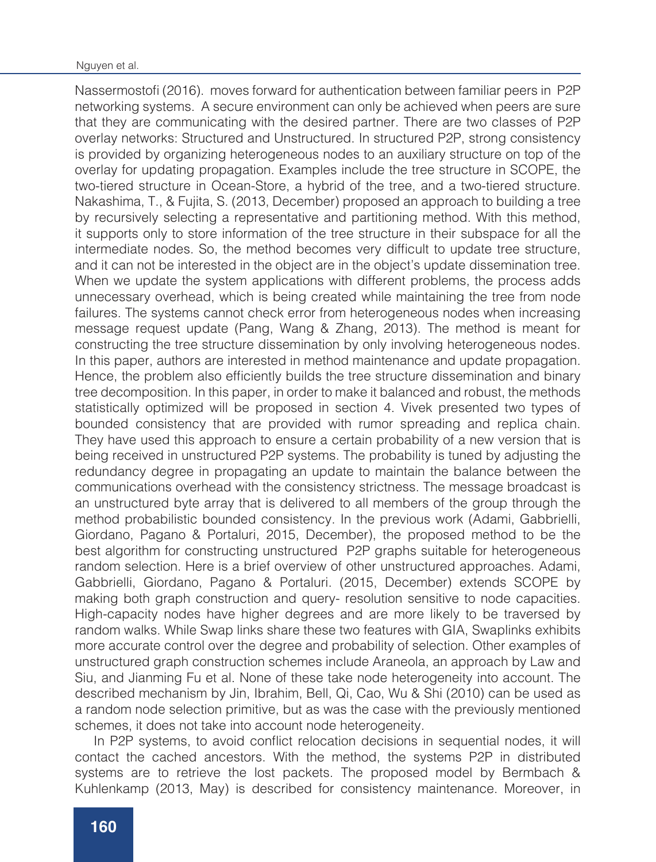Nassermostofi (2016). moves forward for authentication between familiar peers in P2P networking systems. A secure environment can only be achieved when peers are sure that they are communicating with the desired partner. There are two classes of P2P overlay networks: Structured and Unstructured. In structured P2P, strong consistency is provided by organizing heterogeneous nodes to an auxiliary structure on top of the overlay for updating propagation. Examples include the tree structure in SCOPE, the two-tiered structure in Ocean-Store, a hybrid of the tree, and a two-tiered structure. Nakashima, T., & Fujita, S. (2013, December) proposed an approach to building a tree by recursively selecting a representative and partitioning method. With this method, it supports only to store information of the tree structure in their subspace for all the intermediate nodes. So, the method becomes very difficult to update tree structure, and it can not be interested in the object are in the object's update dissemination tree. When we update the system applications with different problems, the process adds unnecessary overhead, which is being created while maintaining the tree from node failures. The systems cannot check error from heterogeneous nodes when increasing message request update (Pang, Wang & Zhang, 2013). The method is meant for constructing the tree structure dissemination by only involving heterogeneous nodes. In this paper, authors are interested in method maintenance and update propagation. Hence, the problem also efficiently builds the tree structure dissemination and binary tree decomposition. In this paper, in order to make it balanced and robust, the methods statistically optimized will be proposed in section 4. Vivek presented two types of bounded consistency that are provided with rumor spreading and replica chain. They have used this approach to ensure a certain probability of a new version that is being received in unstructured P2P systems. The probability is tuned by adjusting the redundancy degree in propagating an update to maintain the balance between the communications overhead with the consistency strictness. The message broadcast is an unstructured byte array that is delivered to all members of the group through the method probabilistic bounded consistency. In the previous work (Adami, Gabbrielli, Giordano, Pagano & Portaluri, 2015, December), the proposed method to be the best algorithm for constructing unstructured P2P graphs suitable for heterogeneous random selection. Here is a brief overview of other unstructured approaches. Adami, Gabbrielli, Giordano, Pagano & Portaluri. (2015, December) extends SCOPE by making both graph construction and query- resolution sensitive to node capacities. High-capacity nodes have higher degrees and are more likely to be traversed by random walks. While Swap links share these two features with GIA, Swaplinks exhibits more accurate control over the degree and probability of selection. Other examples of unstructured graph construction schemes include Araneola, an approach by Law and Siu, and Jianming Fu et al. None of these take node heterogeneity into account. The described mechanism by Jin, Ibrahim, Bell, Qi, Cao, Wu & Shi (2010) can be used as a random node selection primitive, but as was the case with the previously mentioned schemes, it does not take into account node heterogeneity.

In P2P systems, to avoid conflict relocation decisions in sequential nodes, it will contact the cached ancestors. With the method, the systems P2P in distributed systems are to retrieve the lost packets. The proposed model by Bermbach & Kuhlenkamp (2013, May) is described for consistency maintenance. Moreover, in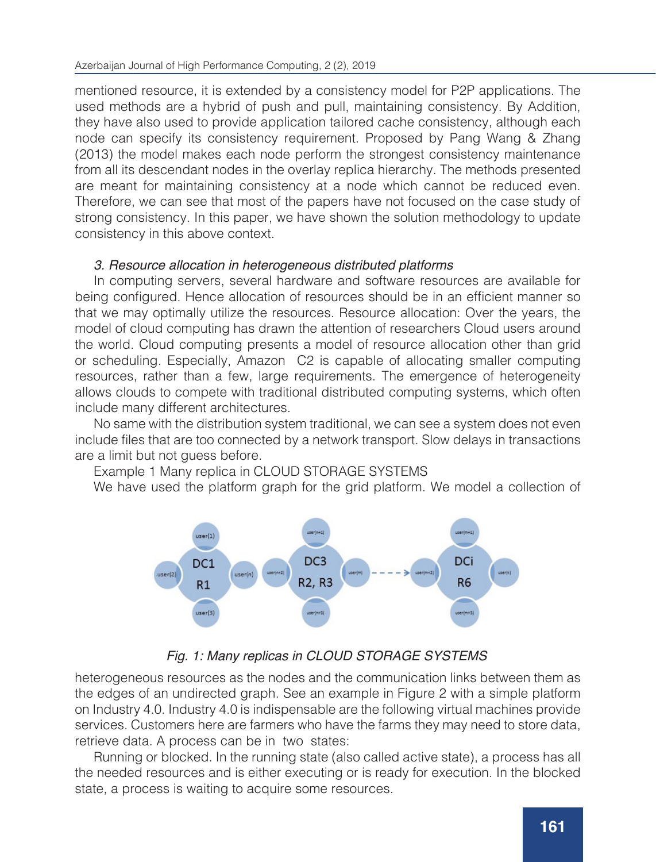mentioned resource, it is extended by a consistency model for P2P applications. The used methods are a hybrid of push and pull, maintaining consistency. By Addition, they have also used to provide application tailored cache consistency, although each node can specify its consistency requirement. Proposed by Pang Wang & Zhang (2013) the model makes each node perform the strongest consistency maintenance from all its descendant nodes in the overlay replica hierarchy. The methods presented are meant for maintaining consistency at a node which cannot be reduced even. Therefore, we can see that most of the papers have not focused on the case study of strong consistency. In this paper, we have shown the solution methodology to update consistency in this above context.

## *3. Resource allocation in heterogeneous distributed platforms*

In computing servers, several hardware and software resources are available for being configured. Hence allocation of resources should be in an efficient manner so that we may optimally utilize the resources. Resource allocation: Over the years, the model of cloud computing has drawn the attention of researchers Cloud users around the world. Cloud computing presents a model of resource allocation other than grid or scheduling. Especially, Amazon C2 is capable of allocating smaller computing resources, rather than a few, large requirements. The emergence of heterogeneity allows clouds to compete with traditional distributed computing systems, which often include many different architectures.

No same with the distribution system traditional, we can see a system does not even include files that are too connected by a network transport. Slow delays in transactions are a limit but not guess before.

Example 1 Many replica in CLOUD STORAGE SYSTEMS

We have used the platform graph for the grid platform. We model a collection of



## *Fig. 1: Many replicas in CLOUD STORAGE SYSTEMS*

heterogeneous resources as the nodes and the communication links between them as the edges of an undirected graph. See an example in Figure 2 with a simple platform on Industry 4.0. Industry 4.0 is indispensable are the following virtual machines provide services. Customers here are farmers who have the farms they may need to store data, retrieve data. A process can be in two states:

Running or blocked. In the running state (also called active state), a process has all the needed resources and is either executing or is ready for execution. In the blocked state, a process is waiting to acquire some resources.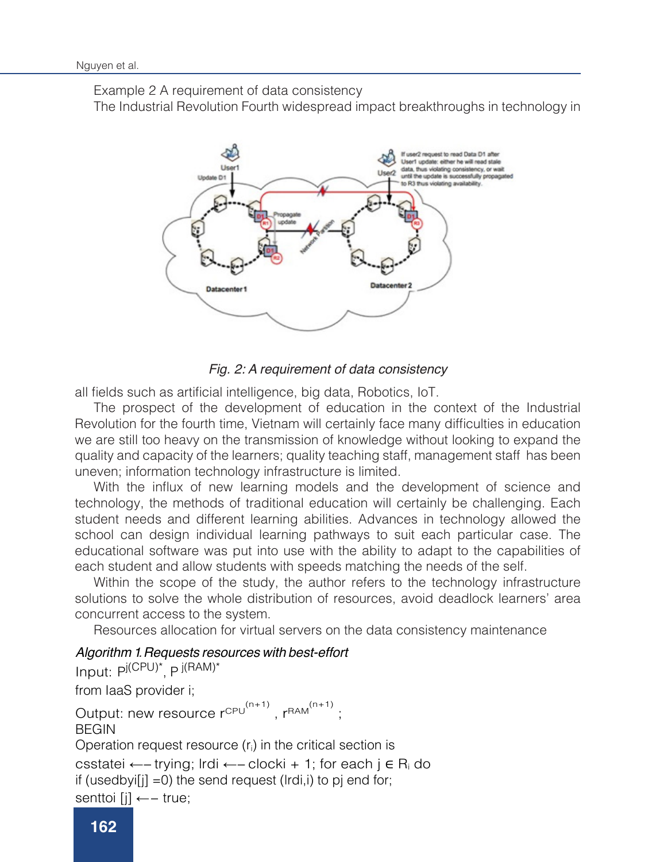Example 2 A requirement of data consistency

The Industrial Revolution Fourth widespread impact breakthroughs in technology in



## *Fig. 2: A requirement of data consistency*

all fields such as artificial intelligence, big data, Robotics, IoT.

The prospect of the development of education in the context of the Industrial Revolution for the fourth time, Vietnam will certainly face many difficulties in education we are still too heavy on the transmission of knowledge without looking to expand the quality and capacity of the learners; quality teaching staff, management staff has been uneven; information technology infrastructure is limited.

With the influx of new learning models and the development of science and technology, the methods of traditional education will certainly be challenging. Each student needs and different learning abilities. Advances in technology allowed the school can design individual learning pathways to suit each particular case. The educational software was put into use with the ability to adapt to the capabilities of each student and allow students with speeds matching the needs of the self.

Within the scope of the study, the author refers to the technology infrastructure solutions to solve the whole distribution of resources, avoid deadlock learners' area concurrent access to the system.

Resources allocation for virtual servers on the data consistency maintenance

# *Algorithm 1 Requests resources with best-effort .*

Input: P<sup>j(CPU)\*</sup>, P <sup>j(RAM)\*</sup> from IaaS provider i;

```
Output: new resource r^{\text{CPU}}^{(n+1)}, r^{\text{RAM}}^{(n+1)};
BEGIN
Operation request resource (ri) in the critical section is
csstatei ←−trying; lrdi ←−clocki + 1; for each j ∈ Ri do
if (usedbyi[j] =0) the send request (lrdi,i) to pj end for;
senttoi [j] ←− true;
```
end if end for; used by the contract of the contract of  $\mathcal{E}$  is the contract of the contract of the contract of the contract of the contract of the contract of the contract of the contract of the contract of the contract of the contr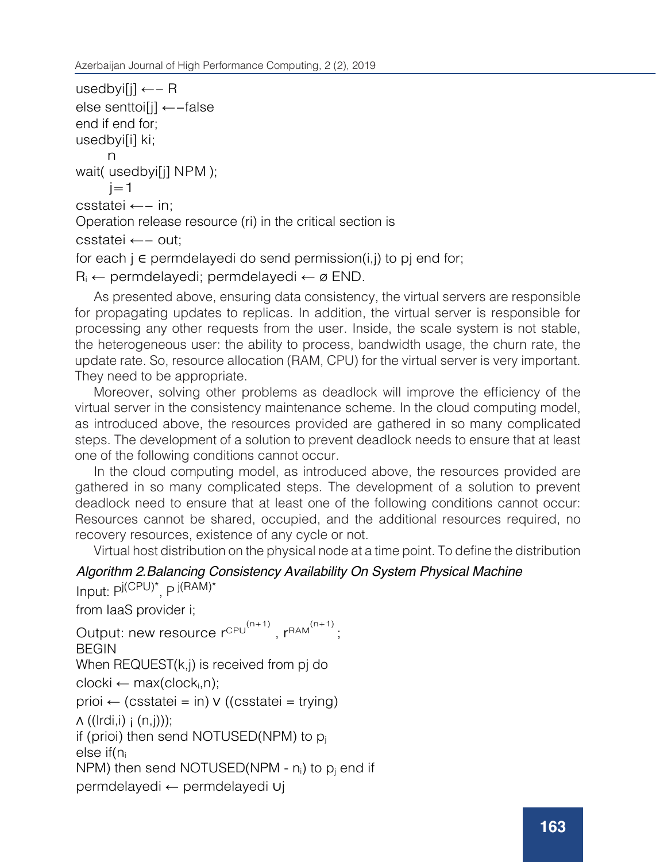```
usedbyi[j] ←− R
else senttoi[j] ←−false
end if end for;
usedbyi[i] ki;
      n
wait( usedbyi[j] NPM );
j=1csstatei ←− in;
Operation release resource (ri) in the critical section is<br>castate: new turbule
csstatei ←– out;
for each j \in permdelayedi do send permission(i,j) to pj end for;
R<sub>i</sub> ← permdelayedi; permdelayedi ← ø END.
```
As presented above, ensuring data consistency, the virtual servers are responsible for propagating updates to replicas. In addition, the virtual server is responsible for processing any other requests from the user. Inside, the scale system is not stable, the heterogeneous user: the ability to process, bandwidth usage, the churn rate, the update rate. So, resource allocation (RAM, CPU) for the virtual server is very important.<br>T apdate rate: 00, resource and<br>They need to be appropriate. (n+1) else settoile senttoile<br>Line settoile se secondo

rney need to be appropriate.<br>Moreover, solving other problems as deadlock will improve the efficiency of the woreover, solving other problems as deadlock will improve the emclency of the<br>virtual server in the consistency maintenance scheme. In the cloud computing model, while the resources provided are gathered in so many complicated as introduced above, the resources provided are gathered in so many complicated as introduced above, the resources provided are gamered in so many complicated<br>steps. The development of a solution to prevent deadlock needs to ensure that at least one of the following conditions cannot occur.

In the cloud computing model, as introduced above, the resources provided are n the cloud computing model, as introduced above, the resources provided are gathered in so many complicated steps. The development of a solution to prevent deadlock need to ensure that at least one of the following conditions cannot occur: Resources cannot be shared, occupied, and the additional resources required, no recovery resources, existence of any cycle or not. gathered in so many complicated steps.

permet of any eyere of not.<br>Virtual host distribution on the physical node at a time point. To define the distribution

```
end if.
Algorithm 2.Balancing Consistency Availability On System Physical Machine
Input: P^{j(CPU)^*}, P^{j(RAM)^*}
```

```
from laaS provider i; https://www.from page
Output: new resource r^{CPU^{(n+1)}}, r^{RAM^{(n+1)}};
if (csstatei = trying) ∧ (usedbyit) ∧ (usedbyit) \sim 0) ∧ (notsenttoichedbyit) \simWhen REQUEST(k,j) is received from pj do
clocki \leftarrow max(clock_i, n);prioi ← (csstatei = in) v ((csstatei = trying)
\Lambda ((lrdi,i) (n,j)));
BEGIN
if (prioi) then send NOTUSED(NPM) to p_ielse if(ni
NPM) then send NOTUSED(NPM - n_i) to p_i end if
permdelayedi ← permdelayedi ∪j
```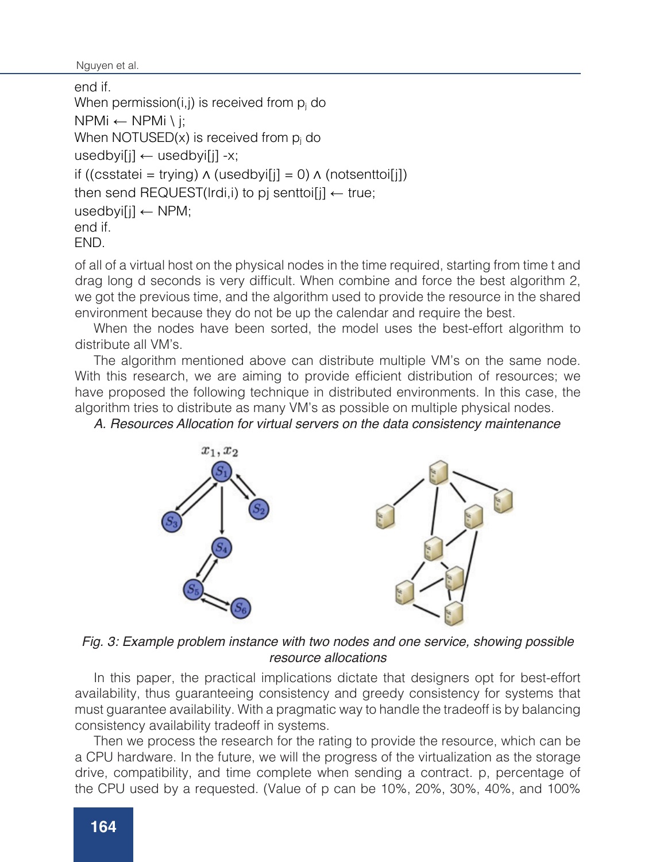```
nguyen et al.<br>Nguyen et al.
```

```
end if.
When permission(i,j) is received from p_i do
NPMi ← NPMi \ j;
When NOTUSED(x) is received from p_i do
usedby[i] \leftarrow usedby[i] -x;if ((csstatei = trying) ∧ (usedbyi[j] = 0) ∧ (notsenttoi[j])
then send REQUEST(lrdi,i) to pj senttoi[j] \leftarrow true;
usedbyi[j] \leftarrow NPM;
end if.
END.
```
of all of a virtual host on the physical nodes in the time required, starting from time t and drag long d seconds is very difficult. When combine and force the best algorithm 2, we got the previous time, and the algorithm used to provide the resource in the shared environment because they do not be up the calendar and require the best.

When the nodes have been sorted, the model uses the best-effort algorithm to distribute all VM's.

The algorithm mentioned above can distribute multiple VM's on the same node. With this research, we are aiming to provide efficient distribution of resources; we have proposed the following technique in distributed environments. In this case, the algorithm tries to distribute as many VM's as possible on multiple physical nodes.

*A. Resources Allocation for virtual servers on the data consistency maintenance*



*Fig. 3: Example problem instance with two nodes and one service, showing possible resource allocations*

In this paper, the practical implications dictate that designers opt for best-effort availability, thus guaranteeing consistency and greedy consistency for systems that must guarantee availability. With a pragmatic way to handle the tradeoff is by balancing consistency availability tradeoff in systems.

Then we process the research for the rating to provide the resource, which can be a CPU hardware. In the future, we will the progress of the virtualization as the storage drive, compatibility, and time complete when sending a contract. p, percentage of the CPU used by a requested. (Value of p can be 10%, 20%, 30%, 40%, and 100%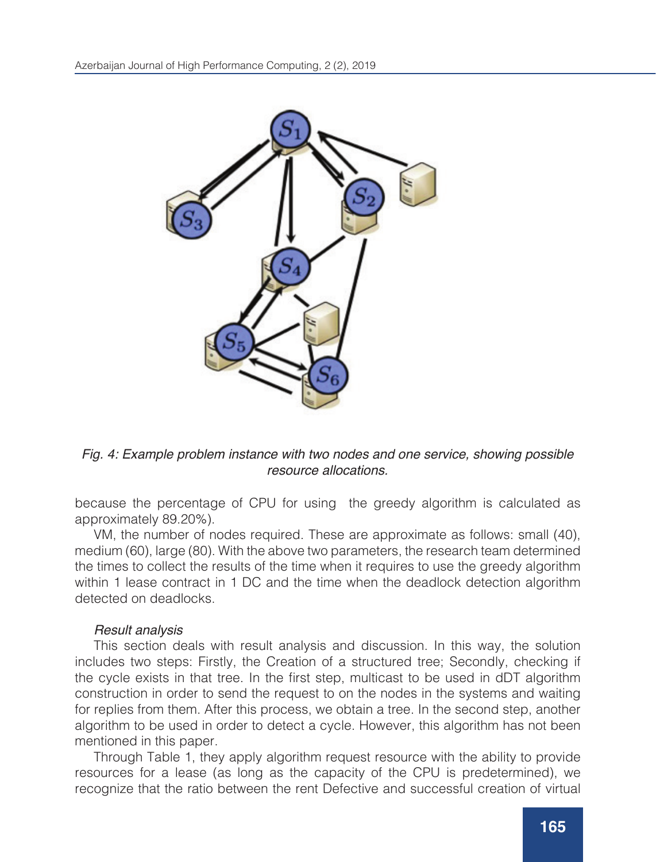

*Fig. 4: Example problem instance with two nodes and one service, showing possible resource allocations.*

because the percentage of CPU for using the greedy algorithm is calculated as approximately 89.20%).

VM, the number of nodes required. These are approximate as follows: small (40), medium (60), large (80). With the above two parameters, the research team determined the times to collect the results of the time when it requires to use the greedy algorithm within 1 lease contract in 1 DC and the time when the deadlock detection algorithm detected on deadlocks.

## *Result analysis*

This section deals with result analysis and discussion. In this way, the solution includes two steps: Firstly, the Creation of a structured tree; Secondly, checking if the cycle exists in that tree. In the first step, multicast to be used in dDT algorithm construction in order to send the request to on the nodes in the systems and waiting for replies from them. After this process, we obtain a tree. In the second step, another algorithm to be used in order to detect a cycle. However, this algorithm has not been mentioned in this paper.

Through Table 1, they apply algorithm request resource with the ability to provide resources for a lease (as long as the capacity of the CPU is predetermined), we recognize that the ratio between the rent Defective and successful creation of virtual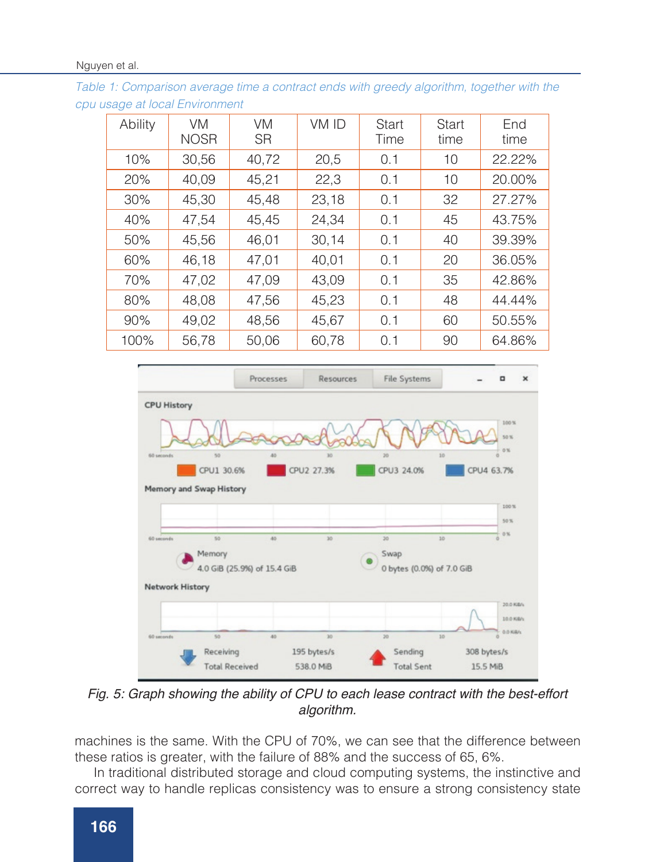*Table 1: Comparison average time a contract ends with greedy algorithm, together with the cpu usage at local Environment*

| Ability | <b>VM</b><br><b>NOSR</b> | <b>VM</b><br><b>SR</b> | VM ID | <b>Start</b><br>Time | <b>Start</b><br>time | End<br>time |
|---------|--------------------------|------------------------|-------|----------------------|----------------------|-------------|
| 10%     | 30,56                    | 40,72                  | 20,5  | 0.1                  | 10                   | 22.22%      |
| 20%     | 40,09                    | 45,21                  | 22,3  | 0.1                  | 10                   | 20.00%      |
| 30%     | 45,30                    | 45,48                  | 23,18 | 0.1                  | 32                   | 27.27%      |
| 40%     | 47,54                    | 45,45                  | 24,34 | 0.1                  | 45                   | 43.75%      |
| 50%     | 45,56                    | 46,01                  | 30,14 | 0.1                  | 40                   | 39.39%      |
| 60%     | 46,18                    | 47,01                  | 40,01 | 0.1                  | 20                   | 36.05%      |
| 70%     | 47,02                    | 47,09                  | 43,09 | 0.1                  | 35                   | 42.86%      |
| 80%     | 48,08                    | 47,56                  | 45,23 | 0.1                  | 48                   | 44.44%      |
| 90%     | 49,02                    | 48,56                  | 45,67 | 0.1                  | 60                   | 50.55%      |
| 100%    | 56.78                    | 50,06                  | 60,78 | 0.1                  | 90                   | 64.86%      |



*Fig. 5: Graph showing the ability of CPU to each lease contract with the best-effort algorithm.*

machines is the same. With the CPU of 70%, we can see that the difference between these ratios is greater, with the failure of 88% and the success of 65, 6%.

In traditional distributed storage and cloud computing systems, the instinctive and correct way to handle replicas consistency was to ensure a strong consistency state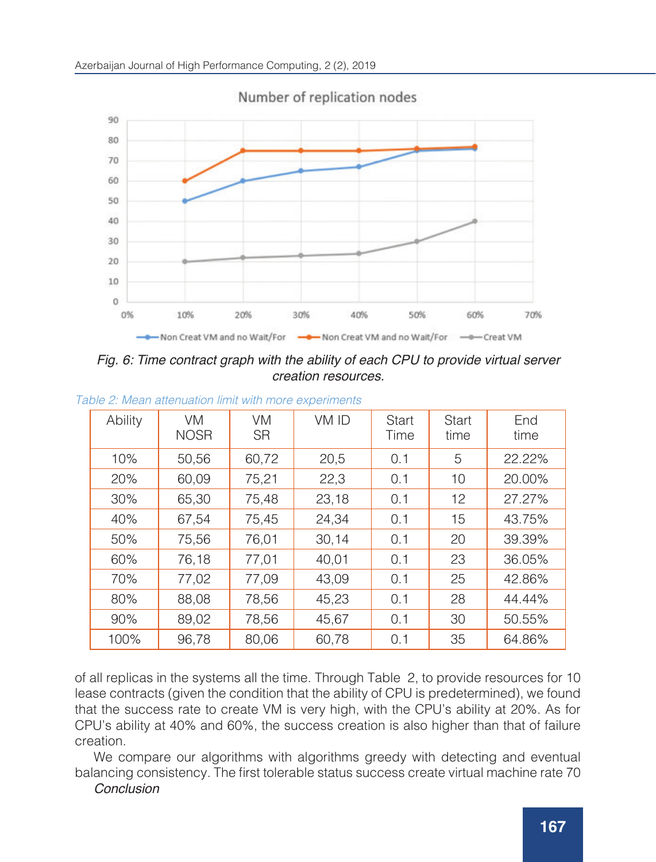

Number of replication nodes

*Fig. 6: Time contract graph with the ability of each CPU to provide virtual server creation resources.*

| Ability | <b>VM</b><br><b>NOSR</b> | <b>VM</b><br><b>SR</b> | VM ID | <b>Start</b><br>Time | Start<br>time | End<br>time |  |
|---------|--------------------------|------------------------|-------|----------------------|---------------|-------------|--|
| 10%     | 50,56                    | 60,72                  | 20,5  | 0.1                  | 5             | 22.22%      |  |
| 20%     | 60,09                    | 75,21                  | 22,3  | 0.1                  | 10            | 20.00%      |  |
| 30%     | 65,30                    | 75,48                  | 23,18 | 0.1                  | 12            | 27.27%      |  |
| 40%     | 67,54                    | 75,45                  | 24,34 | 0.1                  | 15            | 43.75%      |  |
| 50%     | 75,56                    | 76,01                  | 30,14 | 0.1                  | 20            | 39.39%      |  |
| 60%     | 76,18                    | 77,01                  | 40,01 | 0.1                  | 23            | 36.05%      |  |
| 70%     | 77,02                    | 77,09                  | 43,09 | 0.1                  | 25            | 42.86%      |  |
| 80%     | 88,08                    | 78,56                  | 45,23 | 0.1                  | 28            | 44.44%      |  |
| 90%     | 89,02                    | 78,56                  | 45,67 | 0.1                  | 30            | 50.55%      |  |
| 100%    | 96,78                    | 80,06                  | 60,78 | 0.1                  | 35            | 64.86%      |  |

*Table 2: Mean attenuation limit with more experiments* 

of all replicas in the systems all the time. Through Table 2, to provide resources for 10 lease contracts (given the condition that the ability of CPU is predetermined), we found that the success rate to create VM is very high, with the CPU's ability at 20%. As for CPU's ability at 40% and 60%, the success creation is also higher than that of failure creation.

We compare our algorithms with algorithms greedy with detecting and eventual balancing consistency. The first tolerable status success create virtual machine rate 70

*Conclusion*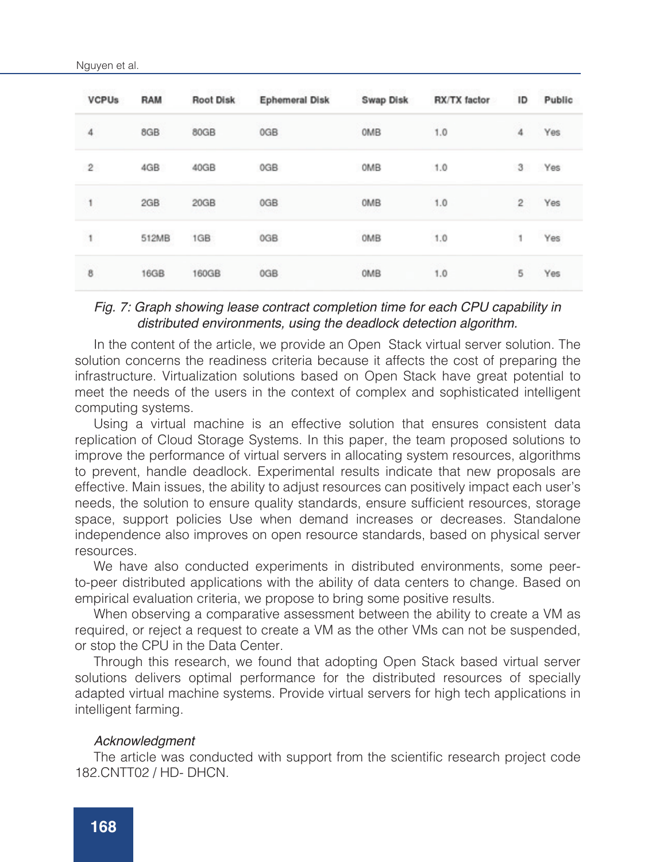| <b>VCPUs</b>   | RAM         | <b>Root Disk</b> | <b>Ephemeral Disk</b>    | Swap Disk | RX/TX factor          | ID             | Public |
|----------------|-------------|------------------|--------------------------|-----------|-----------------------|----------------|--------|
| 4              | 8GB         | 80GB             | 0GB                      | OMB       | 1.0                   | 4              | Yes    |
| $\overline{c}$ | 4GB         | 40GB             | 0GB                      | OMB       | 1.0                   | 3              | Yes    |
| 1              | 2GB         | 20GB             | 0GB                      | OMB       | 1.0                   | $\overline{2}$ | Yes    |
| 1              | 512MB       | 1GB              | <b>CONTRACTOR</b><br>0GB | OMB       | <b>SCANDER</b><br>1.0 | 1              | Yes    |
| 8              | <b>16GB</b> | 160GB            | 0GB                      | OMB       | 1.0                   | 5              | Yes    |

### *Fig. 7: Graph showing lease contract completion time for each CPU capability in distributed environments, using the deadlock detection algorithm.*

In the content of the article, we provide an Open Stack virtual server solution. The solution concerns the readiness criteria because it affects the cost of preparing the infrastructure. Virtualization solutions based on Open Stack have great potential to meet the needs of the users in the context of complex and sophisticated intelligent computing systems.

Using a virtual machine is an effective solution that ensures consistent data replication of Cloud Storage Systems. In this paper, the team proposed solutions to improve the performance of virtual servers in allocating system resources, algorithms to prevent, handle deadlock. Experimental results indicate that new proposals are effective. Main issues, the ability to adjust resources can positively impact each user's needs, the solution to ensure quality standards, ensure sufficient resources, storage space, support policies Use when demand increases or decreases. Standalone independence also improves on open resource standards, based on physical server resources.

We have also conducted experiments in distributed environments, some peerto-peer distributed applications with the ability of data centers to change. Based on empirical evaluation criteria, we propose to bring some positive results.

When observing a comparative assessment between the ability to create a VM as required, or reject a request to create a VM as the other VMs can not be suspended, or stop the CPU in the Data Center.

Through this research, we found that adopting Open Stack based virtual server solutions delivers optimal performance for the distributed resources of specially adapted virtual machine systems. Provide virtual servers for high tech applications in intelligent farming.

#### *Acknowledgment*

The article was conducted with support from the scientific research project code 182.CNTT02 / HD- DHCN.